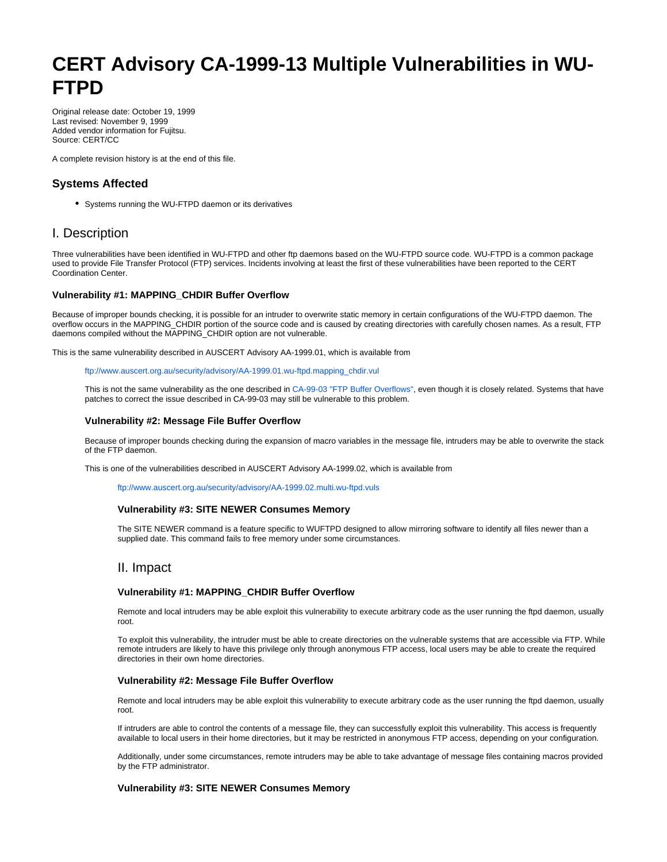# **CERT Advisory CA-1999-13 Multiple Vulnerabilities in WU-FTPD**

Original release date: October 19, 1999 Last revised: November 9, 1999 Added vendor information for Fujitsu. Source: CERT/CC

A complete revision history is at the end of this file.

# **Systems Affected**

• Systems running the WU-FTPD daemon or its derivatives

# I. Description

Three vulnerabilities have been identified in WU-FTPD and other ftp daemons based on the WU-FTPD source code. WU-FTPD is a common package used to provide File Transfer Protocol (FTP) services. Incidents involving at least the first of these vulnerabilities have been reported to the CERT Coordination Center.

#### **Vulnerability #1: MAPPING\_CHDIR Buffer Overflow**

Because of improper bounds checking, it is possible for an intruder to overwrite static memory in certain configurations of the WU-FTPD daemon. The overflow occurs in the MAPPING\_CHDIR portion of the source code and is caused by creating directories with carefully chosen names. As a result, FTP daemons compiled without the MAPPING CHDIR option are not vulnerable.

This is the same vulnerability described in AUSCERT Advisory AA-1999.01, which is available from

[ftp://www.auscert.org.au/security/advisory/AA-1999.01.wu-ftpd.mapping\\_chdir.vul](ftp://www.auscert.org.au/security/advisory/AA-1999.01.wu-ftpd.mapping_chdir.vul)

This is not the same vulnerability as the one described in [CA-99-03 "FTP Buffer Overflows",](http://www.cert.org/advisories/CA-99-03-FTP-Buffer-Overflows.html) even though it is closely related. Systems that have patches to correct the issue described in CA-99-03 may still be vulnerable to this problem.

#### **Vulnerability #2: Message File Buffer Overflow**

Because of improper bounds checking during the expansion of macro variables in the message file, intruders may be able to overwrite the stack of the FTP daemon.

This is one of the vulnerabilities described in AUSCERT Advisory AA-1999.02, which is available from

<ftp://www.auscert.org.au/security/advisory/AA-1999.02.multi.wu-ftpd.vuls>

#### **Vulnerability #3: SITE NEWER Consumes Memory**

The SITE NEWER command is a feature specific to WUFTPD designed to allow mirroring software to identify all files newer than a supplied date. This command fails to free memory under some circumstances.

## II. Impact

#### **Vulnerability #1: MAPPING\_CHDIR Buffer Overflow**

Remote and local intruders may be able exploit this vulnerability to execute arbitrary code as the user running the ftpd daemon, usually root.

To exploit this vulnerability, the intruder must be able to create directories on the vulnerable systems that are accessible via FTP. While remote intruders are likely to have this privilege only through anonymous FTP access, local users may be able to create the required directories in their own home directories.

#### **Vulnerability #2: Message File Buffer Overflow**

Remote and local intruders may be able exploit this vulnerability to execute arbitrary code as the user running the ftpd daemon, usually root.

If intruders are able to control the contents of a message file, they can successfully exploit this vulnerability. This access is frequently available to local users in their home directories, but it may be restricted in anonymous FTP access, depending on your configuration.

Additionally, under some circumstances, remote intruders may be able to take advantage of message files containing macros provided by the FTP administrator.

#### **Vulnerability #3: SITE NEWER Consumes Memory**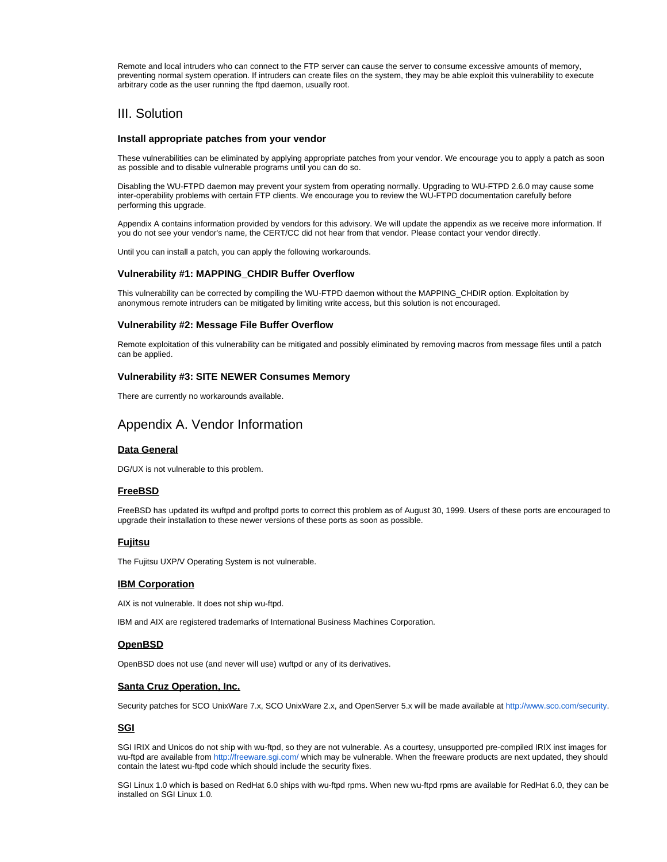Remote and local intruders who can connect to the FTP server can cause the server to consume excessive amounts of memory, preventing normal system operation. If intruders can create files on the system, they may be able exploit this vulnerability to execute arbitrary code as the user running the ftpd daemon, usually root.

## III. Solution

#### **Install appropriate patches from your vendor**

These vulnerabilities can be eliminated by applying appropriate patches from your vendor. We encourage you to apply a patch as soon as possible and to disable vulnerable programs until you can do so.

Disabling the WU-FTPD daemon may prevent your system from operating normally. Upgrading to WU-FTPD 2.6.0 may cause some inter-operability problems with certain FTP clients. We encourage you to review the WU-FTPD documentation carefully before performing this upgrade.

Appendix A contains information provided by vendors for this advisory. We will update the appendix as we receive more information. If you do not see your vendor's name, the CERT/CC did not hear from that vendor. Please contact your vendor directly.

Until you can install a patch, you can apply the following workarounds.

#### **Vulnerability #1: MAPPING\_CHDIR Buffer Overflow**

This vulnerability can be corrected by compiling the WU-FTPD daemon without the MAPPING\_CHDIR option. Exploitation by anonymous remote intruders can be mitigated by limiting write access, but this solution is not encouraged.

#### **Vulnerability #2: Message File Buffer Overflow**

Remote exploitation of this vulnerability can be mitigated and possibly eliminated by removing macros from message files until a patch can be applied.

#### **Vulnerability #3: SITE NEWER Consumes Memory**

There are currently no workarounds available.

## Appendix A. Vendor Information

## **Data General**

DG/UX is not vulnerable to this problem.

#### **FreeBSD**

FreeBSD has updated its wuftpd and proftpd ports to correct this problem as of August 30, 1999. Users of these ports are encouraged to upgrade their installation to these newer versions of these ports as soon as possible.

#### **Fujitsu**

The Fujitsu UXP/V Operating System is not vulnerable.

#### **IBM Corporation**

AIX is not vulnerable. It does not ship wu-ftpd.

IBM and AIX are registered trademarks of International Business Machines Corporation.

## **OpenBSD**

OpenBSD does not use (and never will use) wuftpd or any of its derivatives.

#### **Santa Cruz Operation, Inc.**

Security patches for SCO UnixWare 7.x, SCO UnixWare 2.x, and OpenServer 5.x will be made available at<http://www.sco.com/security>.

#### **SGI**

SGI IRIX and Unicos do not ship with wu-ftpd, so they are not vulnerable. As a courtesy, unsupported pre-compiled IRIX inst images for wu-ftpd are available from<http://freeware.sgi.com/> which may be vulnerable. When the freeware products are next updated, they should contain the latest wu-ftpd code which should include the security fixes.

SGI Linux 1.0 which is based on RedHat 6.0 ships with wu-ftpd rpms. When new wu-ftpd rpms are available for RedHat 6.0, they can be installed on SGI Linux 1.0.